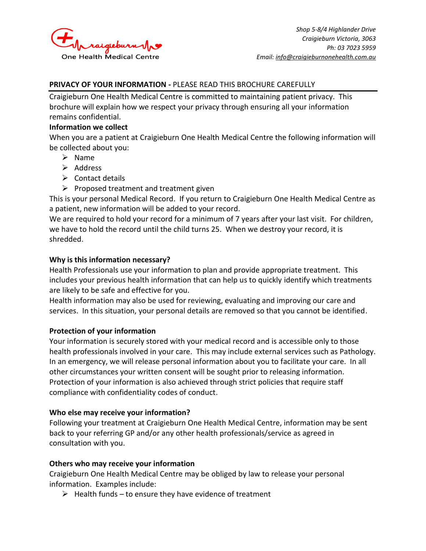

### **PRIVACY OF YOUR INFORMATION -** PLEASE READ THIS BROCHURE CAREFULLY

Craigieburn One Health Medical Centre is committed to maintaining patient privacy. This brochure will explain how we respect your privacy through ensuring all your information remains confidential.

#### **Information we collect**

When you are a patient at Craigieburn One Health Medical Centre the following information will be collected about you:

- ➢ Name
- ➢ Address
- $\triangleright$  Contact details
- $\triangleright$  Proposed treatment and treatment given

This is your personal Medical Record. If you return to Craigieburn One Health Medical Centre as a patient, new information will be added to your record.

We are required to hold your record for a minimum of 7 years after your last visit. For children, we have to hold the record until the child turns 25. When we destroy your record, it is shredded.

## **Why is this information necessary?**

Health Professionals use your information to plan and provide appropriate treatment. This includes your previous health information that can help us to quickly identify which treatments are likely to be safe and effective for you.

Health information may also be used for reviewing, evaluating and improving our care and services. In this situation, your personal details are removed so that you cannot be identified.

# **Protection of your information**

Your information is securely stored with your medical record and is accessible only to those health professionals involved in your care. This may include external services such as Pathology. In an emergency, we will release personal information about you to facilitate your care. In all other circumstances your written consent will be sought prior to releasing information. Protection of your information is also achieved through strict policies that require staff compliance with confidentiality codes of conduct.

### **Who else may receive your information?**

Following your treatment at Craigieburn One Health Medical Centre, information may be sent back to your referring GP and/or any other health professionals/service as agreed in consultation with you.

### **Others who may receive your information**

Craigieburn One Health Medical Centre may be obliged by law to release your personal information. Examples include:

 $\triangleright$  Health funds – to ensure they have evidence of treatment